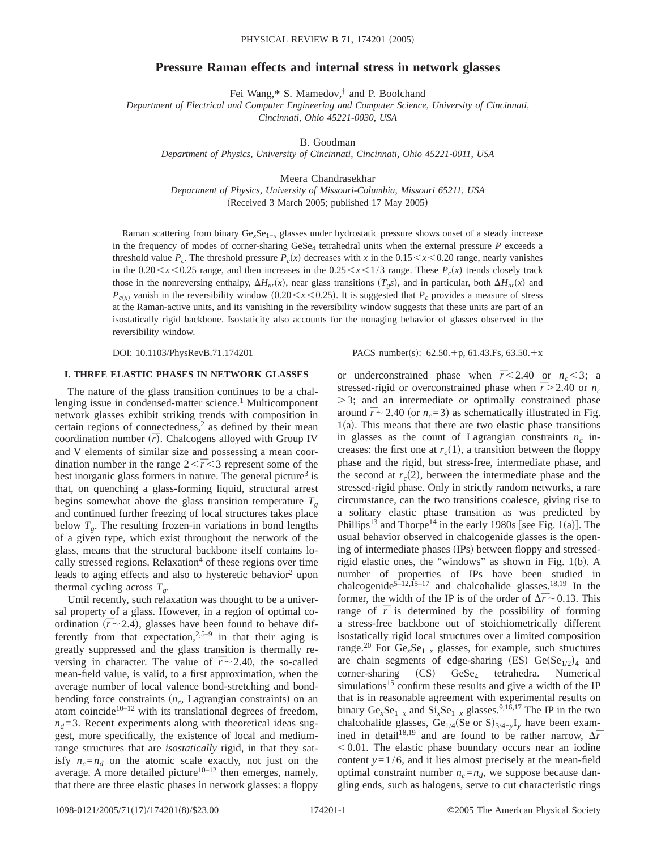## **Pressure Raman effects and internal stress in network glasses**

Fei Wang,\* S. Mamedov,† and P. Boolchand

*Department of Electrical and Computer Engineering and Computer Science, University of Cincinnati, Cincinnati, Ohio 45221-0030, USA*

B. Goodman

*Department of Physics, University of Cincinnati, Cincinnati, Ohio 45221-0011, USA*

Meera Chandrasekhar *Department of Physics, University of Missouri-Columbia, Missouri 65211, USA*  $(Received 3 March 2005; published 17 May 2005)$ 

Raman scattering from binary Ge*x*Se1−*<sup>x</sup>* glasses under hydrostatic pressure shows onset of a steady increase in the frequency of modes of corner-sharing  $GeSe<sub>4</sub>$  tetrahedral units when the external pressure  $P$  exceeds a threshold value  $P_c$ . The threshold pressure  $P_c(x)$  decreases with *x* in the 0.15  $\lt x \lt 0.20$  range, nearly vanishes in the  $0.20 \le x \le 0.25$  range, and then increases in the  $0.25 \le x \le 1/3$  range. These  $P_c(x)$  trends closely track those in the nonreversing enthalpy,  $\Delta H_{nr}(x)$ , near glass transitions  $(T_g s)$ , and in particular, both  $\Delta H_{nr}(x)$  and  $P_{c(x)}$  vanish in the reversibility window (0.20 < *x* < 0.25). It is suggested that  $P_c$  provides a measure of stress at the Raman-active units, and its vanishing in the reversibility window suggests that these units are part of an isostatically rigid backbone. Isostaticity also accounts for the nonaging behavior of glasses observed in the reversibility window.

DOI: 10.1103/PhysRevB.71.174201 PACS number(s):  $62.50 + p$ ,  $61.43.Fs$ ,  $63.50.+x$ 

## **I. THREE ELASTIC PHASES IN NETWORK GLASSES**

The nature of the glass transition continues to be a challenging issue in condensed-matter science.<sup>1</sup> Multicomponent network glasses exhibit striking trends with composition in certain regions of connectedness, $<sup>2</sup>$  as defined by their mean</sup> coordination number  $(\bar{r})$ . Chalcogens alloyed with Group IV and V elements of similar size and possessing a mean coordination number in the range  $2<\bar{r}<3$  represent some of the best inorganic glass formers in nature. The general picture<sup>3</sup> is that, on quenching a glass-forming liquid, structural arrest begins somewhat above the glass transition temperature  $T<sub>g</sub>$ and continued further freezing of local structures takes place below  $T<sub>g</sub>$ . The resulting frozen-in variations in bond lengths of a given type, which exist throughout the network of the glass, means that the structural backbone itself contains locally stressed regions. Relaxation<sup>4</sup> of these regions over time leads to aging effects and also to hysteretic behavior<sup>2</sup> upon thermal cycling across  $T<sub>g</sub>$ .

Until recently, such relaxation was thought to be a universal property of a glass. However, in a region of optimal coordination  $(\bar{r} \sim 2.4)$ , glasses have been found to behave differently from that expectation,  $2.5-9$  in that their aging is greatly suppressed and the glass transition is thermally reversing in character. The value of  $\bar{r}$   $\sim$  2.40, the so-called mean-field value, is valid, to a first approximation, when the average number of local valence bond-stretching and bondbending force constraints (n<sub>c</sub>, Lagrangian constraints) on an atom coincide<sup>10–12</sup> with its translational degrees of freedom,  $n_d$ =3. Recent experiments along with theoretical ideas suggest, more specifically, the existence of local and mediumrange structures that are *isostatically* rigid, in that they satisfy  $n_c = n_d$  on the atomic scale exactly, not just on the average. A more detailed picture<sup>10–12</sup> then emerges, namely, that there are three elastic phases in network glasses: a floppy or underconstrained phase when  $\bar{r}$ <2.40 or  $n_c$ <3; a stressed-rigid or overconstrained phase when  $\bar{r}$  > 2.40 or  $n_c$  $>$ 3; and an intermediate or optimally constrained phase around  $\bar{r}$  ~ 2.40 (or  $n_c$ =3) as schematically illustrated in Fig.  $1(a)$ . This means that there are two elastic phase transitions in glasses as the count of Lagrangian constraints  $n_c$  increases: the first one at  $r_c(1)$ , a transition between the floppy phase and the rigid, but stress-free, intermediate phase, and the second at  $r_c(2)$ , between the intermediate phase and the stressed-rigid phase. Only in strictly random networks, a rare circumstance, can the two transitions coalesce, giving rise to a solitary elastic phase transition as was predicted by Phillips<sup>13</sup> and Thorpe<sup>14</sup> in the early 1980s [see Fig. 1(a)]. The usual behavior observed in chalcogenide glasses is the opening of intermediate phases (IPs) between floppy and stressedrigid elastic ones, the "windows" as shown in Fig.  $1(b)$ . A number of properties of IPs have been studied in chalcogenide<sup>5–12,15–17</sup> and chalcohalide glasses.<sup>18,19</sup> In the former, the width of the IP is of the order of  $\Delta \bar{r}$  ~ 0.13. This range of  $\bar{r}$  is determined by the possibility of forming a stress-free backbone out of stoichiometrically different isostatically rigid local structures over a limited composition range.<sup>20</sup> For Ge<sub>x</sub>Se<sub>1−*x*</sub> glasses, for example, such structures are chain segments of edge-sharing (ES)  $Ge(Se_{1/2})_4$  and  $corner\text{-}sharing$   $(CS)$   $GeSe<sub>4</sub>$  tetrahedra. Numerical simulations<sup>15</sup> confirm these results and give a width of the IP that is in reasonable agreement with experimental results on binary  $Ge_xSe_{1-x}$  and  $Si_xSe_{1-x}$  glasses.<sup>9,16,17</sup> The IP in the two chalcohalide glasses, Ge<sub>1/4</sub>(Se or S)<sub>3/4-*y*</sub>I<sub>*y*</sub> have been examined in detail<sup>18,19</sup> and are found to be rather narrow,  $\Delta \bar{r}$  $< 0.01$ . The elastic phase boundary occurs near an iodine content  $y=1/6$ , and it lies almost precisely at the mean-field optimal constraint number  $n_c = n_d$ , we suppose because dangling ends, such as halogens, serve to cut characteristic rings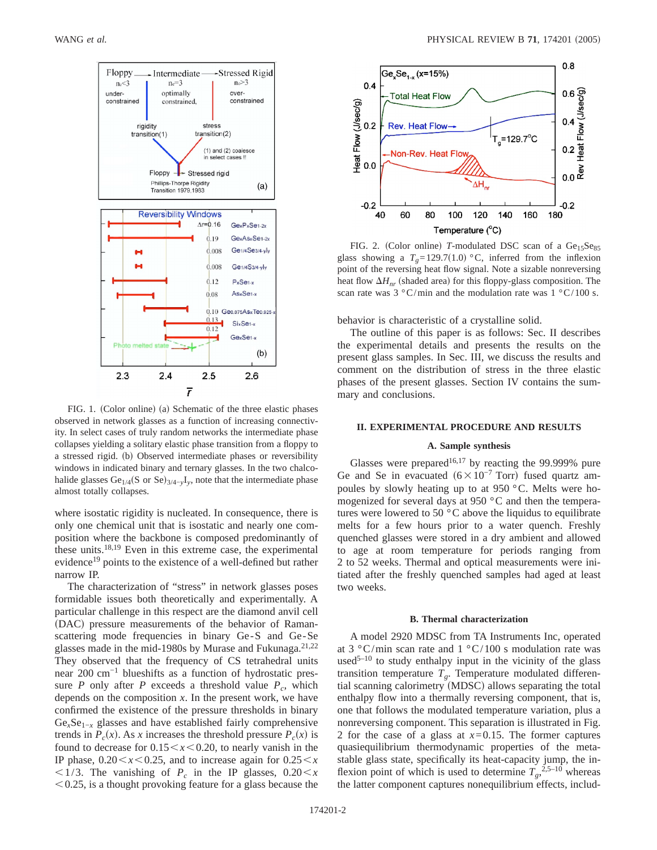

FIG. 1. (Color online) (a) Schematic of the three elastic phases observed in network glasses as a function of increasing connectivity. In select cases of truly random networks the intermediate phase collapses yielding a solitary elastic phase transition from a floppy to a stressed rigid. (b) Observed intermediate phases or reversibility windows in indicated binary and ternary glasses. In the two chalcohalide glasses Ge<sub>1/4</sub>(S or Se)<sub>3/4−*y*</sub>I<sub>*y*</sub>, note that the intermediate phase almost totally collapses.

where isostatic rigidity is nucleated. In consequence, there is only one chemical unit that is isostatic and nearly one composition where the backbone is composed predominantly of these units.18,19 Even in this extreme case, the experimental evidence<sup>19</sup> points to the existence of a well-defined but rather narrow IP.

The characterization of "stress" in network glasses poses formidable issues both theoretically and experimentally. A particular challenge in this respect are the diamond anvil cell (DAC) pressure measurements of the behavior of Ramanscattering mode frequencies in binary Ge-S and Ge-Se glasses made in the mid-1980s by Murase and Fukunaga.<sup>21,22</sup> They observed that the frequency of CS tetrahedral units near 200 cm<sup>-1</sup> blueshifts as a function of hydrostatic pressure *P* only after *P* exceeds a threshold value  $P_c$ , which depends on the composition *x*. In the present work, we have confirmed the existence of the pressure thresholds in binary Ge*x*Se1−*<sup>x</sup>* glasses and have established fairly comprehensive trends in  $P_c(x)$ . As *x* increases the threshold pressure  $P_c(x)$  is found to decrease for  $0.15 \le x \le 0.20$ , to nearly vanish in the IP phase,  $0.20 \le x \le 0.25$ , and to increase again for  $0.25 \le x$  $\langle 1/3.$  The vanishing of  $P_c$  in the IP glasses,  $0.20 \le x$  $< 0.25$ , is a thought provoking feature for a glass because the



FIG. 2. (Color online) *T*-modulated DSC scan of a  $Ge<sub>15</sub>Se<sub>85</sub>$ glass showing a  $T<sub>g</sub>=129.7(1.0) °C$ , inferred from the inflexion point of the reversing heat flow signal. Note a sizable nonreversing heat flow  $\Delta H_{nr}$  (shaded area) for this floppy-glass composition. The scan rate was  $3 \degree C / \text{min}$  and the modulation rate was  $1 \degree C / \text{100 s}$ .

behavior is characteristic of a crystalline solid.

The outline of this paper is as follows: Sec. II describes the experimental details and presents the results on the present glass samples. In Sec. III, we discuss the results and comment on the distribution of stress in the three elastic phases of the present glasses. Section IV contains the summary and conclusions.

### **II. EXPERIMENTAL PROCEDURE AND RESULTS**

## **A. Sample synthesis**

Glasses were prepared<sup>16,17</sup> by reacting the 99.999% pure Ge and Se in evacuated  $(6\times10^{-7}$  Torr) fused quartz ampoules by slowly heating up to at 950 °C. Melts were homogenized for several days at 950 °C and then the temperatures were lowered to 50 °C above the liquidus to equilibrate melts for a few hours prior to a water quench. Freshly quenched glasses were stored in a dry ambient and allowed to age at room temperature for periods ranging from 2 to 52 weeks. Thermal and optical measurements were initiated after the freshly quenched samples had aged at least two weeks.

#### **B. Thermal characterization**

A model 2920 MDSC from TA Instruments Inc, operated at  $3 \degree C / \text{min}$  scan rate and  $1 \degree C / \text{100}$  s modulation rate was used<sup>5-10</sup> to study enthalpy input in the vicinity of the glass transition temperature *Tg*. Temperature modulated differential scanning calorimetry (MDSC) allows separating the total enthalpy flow into a thermally reversing component, that is, one that follows the modulated temperature variation, plus a nonreversing component. This separation is illustrated in Fig. 2 for the case of a glass at  $x=0.15$ . The former captures quasiequilibrium thermodynamic properties of the metastable glass state, specifically its heat-capacity jump, the inflexion point of which is used to determine  $T_g$ ,<sup>2,5–10</sup> whereas the latter component captures nonequilibrium effects, includ-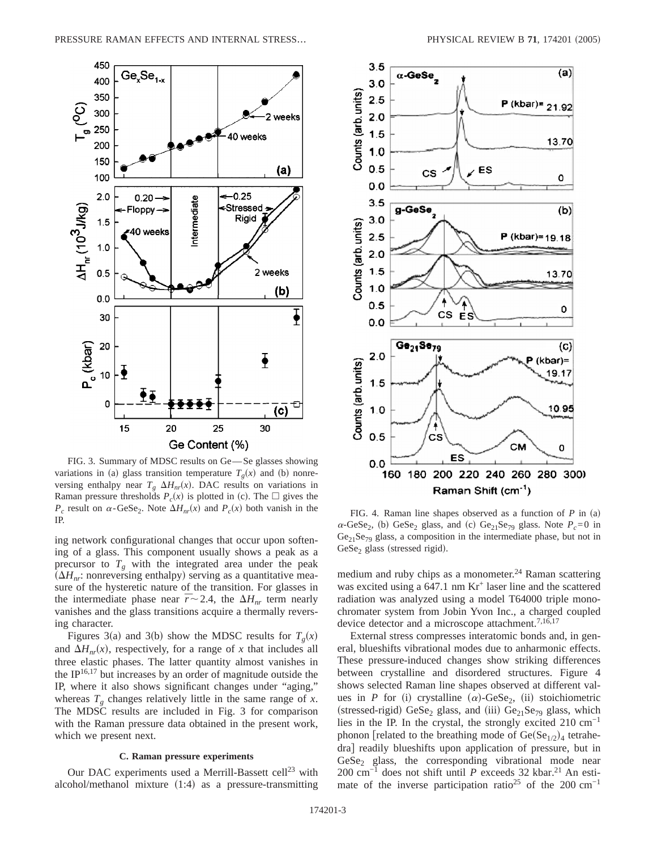

FIG. 3. Summary of MDSC results on Ge-Se glasses showing variations in (a) glass transition temperature  $T<sub>g</sub>(x)$  and (b) nonreversing enthalpy near  $T_g \Delta H_{nr}(x)$ . DAC results on variations in Raman pressure thresholds  $P_c(x)$  is plotted in (c). The  $\Box$  gives the  $P_c$  result on  $\alpha$ -GeSe<sub>2</sub>. Note  $\Delta H_{nr}(x)$  and  $P_c(x)$  both vanish in the  $P_c$  result on  $\alpha$ -Gese<sub>2</sub>. Note  $\Delta H_{nr}(x)$  and  $P_c(x)$  both valush in the FIG. 4. Raman line shapes observed as a function of *P* in (a)  $\sum_{n=1}^{\infty}$  in same  $\sum_{n=1}^{\infty}$  in  $\sum_{n=1}^{\infty}$ 

ing network configurational changes that occur upon softening of a glass. This component usually shows a peak as a precursor to  $T_g$  with the integrated area under the peak  $(\Delta H_{nr}:$  nonreversing enthalpy) serving as a quantitative measure of the hysteretic nature of the transition. For glasses in the intermediate phase near  $\bar{r}$   $\sim$  2.4, the  $\Delta H_{nr}$  term nearly vanishes and the glass transitions acquire a thermally reversing character.

Figures 3(a) and 3(b) show the MDSC results for  $T<sub>g</sub>(x)$ and  $\Delta H_{nr}(x)$ , respectively, for a range of *x* that includes all three elastic phases. The latter quantity almost vanishes in the IP $16,17$  but increases by an order of magnitude outside the IP, where it also shows significant changes under "aging," whereas  $T<sub>g</sub>$  changes relatively little in the same range of *x*. The MDSC results are included in Fig. 3 for comparison with the Raman pressure data obtained in the present work, which we present next.

# **C. Raman pressure experiments**

Our DAC experiments used a Merrill-Bassett cell<sup>23</sup> with alcohol/methanol mixture  $(1:4)$  as a pressure-transmitting



 $\alpha$ -GeSe<sub>2</sub>, (b) GeSe<sub>2</sub> glass, and (c) Ge<sub>21</sub>Se<sub>79</sub> glass. Note  $P_c$ =0 in  $Ge<sub>21</sub>Se<sub>79</sub> glass, a composition in the intermediate phase, but not in$  $GeSe<sub>2</sub>$  glass (stressed rigid).

medium and ruby chips as a monometer.<sup>24</sup> Raman scattering was excited using a  $647.1 \text{ nm Kr}^+$  laser line and the scattered radiation was analyzed using a model T64000 triple monochromater system from Jobin Yvon Inc., a charged coupled device detector and a microscope attachment.<sup>7,16,17</sup>

External stress compresses interatomic bonds and, in general, blueshifts vibrational modes due to anharmonic effects. These pressure-induced changes show striking differences between crystalline and disordered structures. Figure 4 shows selected Raman line shapes observed at different values in *P* for (i) crystalline ( $\alpha$ )-GeSe<sub>2</sub>, (ii) stoichiometric (stressed-rigid) GeSe<sub>2</sub> glass, and (iii) Ge<sub>21</sub>Se<sub>79</sub> glass, which lies in the IP. In the crystal, the strongly excited  $210 \text{ cm}^{-1}$ phonon [related to the breathing mode of  $Ge(Se_{1/2})_4$  tetrahedra] readily blueshifts upon application of pressure, but in  $GeSe<sub>2</sub>$  glass, the corresponding vibrational mode near 200 cm<sup>-1</sup> does not shift until *P* exceeds 32 kbar.<sup>21</sup> An estimate of the inverse participation ratio<sup>25</sup> of the 200 cm<sup>-1</sup>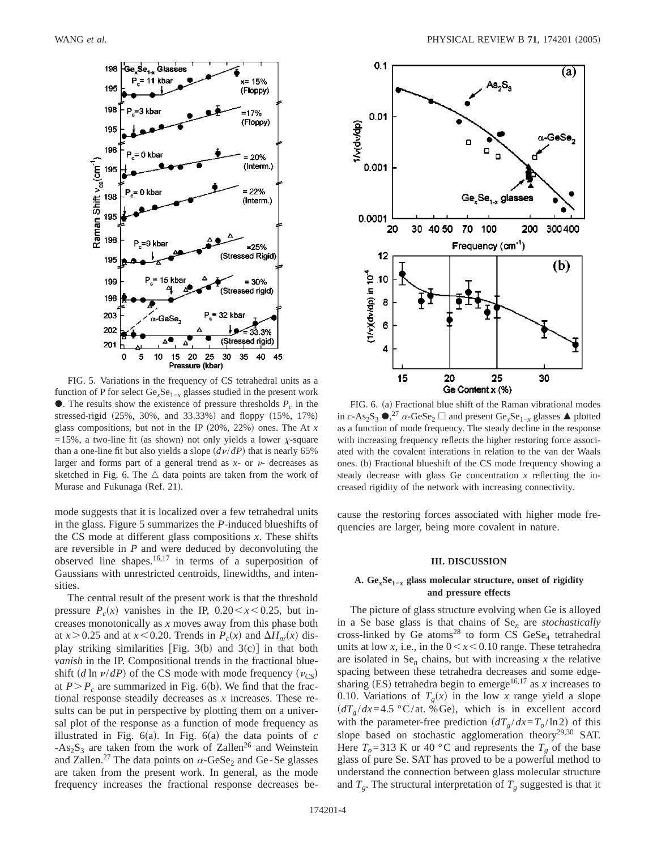

FIG. 5. Variations in the frequency of CS tetrahedral units as a function of P for select  $Ge<sub>x</sub>Se<sub>1−x</sub>$  glasses studied in the present work  $\bullet$ . The results show the existence of pressure thresholds  $P_c$  in the stressed-rigid  $(25\%, 30\%, \text{ and } 33.33\%)$  and floppy  $(15\%, 17\%)$ glass compositions, but not in the IP  $(20\%, 22\%)$  ones. The At *x* =15%, a two-line fit (as shown) not only yields a lower  $\chi$ -square than a one-line fit but also yields a slope  $\left(\frac{dv}{dP}\right)$  that is nearly 65% larger and forms part of a general trend as  $x$ - or  $\nu$ - decreases as sketched in Fig. 6. The  $\triangle$  data points are taken from the work of Murase and Fukunaga (Ref. 21).

mode suggests that it is localized over a few tetrahedral units in the glass. Figure 5 summarizes the *P*-induced blueshifts of the CS mode at different glass compositions *x*. These shifts are reversible in *P* and were deduced by deconvoluting the observed line shapes.16,17 in terms of a superposition of Gaussians with unrestricted centroids, linewidths, and intensities.

The central result of the present work is that the threshold pressure  $P_c(x)$  vanishes in the IP,  $0.20 \le x \le 0.25$ , but increases monotonically as *x* moves away from this phase both at  $x > 0.25$  and at  $x < 0.20$ . Trends in  $P_c(x)$  and  $\Delta H_{nr}(x)$  display striking similarities [Fig. 3(b) and  $3(c)$ ] in that both *vanish* in the IP. Compositional trends in the fractional blueshift (*d* ln  $\nu/dP$ ) of the CS mode with mode frequency ( $\nu_{\text{CS}}$ ) at  $P > P_c$  are summarized in Fig. 6(b). We find that the fractional response steadily decreases as *x* increases. These results can be put in perspective by plotting them on a universal plot of the response as a function of mode frequency as illustrated in Fig.  $6(a)$ . In Fig.  $6(a)$  the data points of *c*  $-As_2S_3$  are taken from the work of Zallen<sup>26</sup> and Weinstein and Zallen.<sup>27</sup> The data points on  $\alpha$ -GeSe<sub>2</sub> and Ge-Se glasses are taken from the present work. In general, as the mode frequency increases the fractional response decreases be-



FIG. 6. (a) Fractional blue shift of the Raman vibrational modes in *c*-As<sub>2</sub>S<sub>3</sub>  $\bullet$ <sup>27</sup>  $\alpha$ -GeSe<sub>2</sub>  $\Box$  and present Ge<sub>*x*</sub>Se<sub>1−*x*</sub> glasses  $\blacktriangle$  plotted as a function of mode frequency. The steady decline in the response with increasing frequency reflects the higher restoring force associated with the covalent interations in relation to the van der Waals ones. (b) Fractional blueshift of the CS mode frequency showing a steady decrease with glass Ge concentration *x* reflecting the increased rigidity of the network with increasing connectivity.

cause the restoring forces associated with higher mode frequencies are larger, being more covalent in nature.

### **III. DISCUSSION**

## **A. Ge***x***Se1−***<sup>x</sup>* **glass molecular structure, onset of rigidity and pressure effects**

The picture of glass structure evolving when Ge is alloyed in a Se base glass is that chains of Se*<sup>n</sup>* are *stochastically* cross-linked by Ge atoms<sup>28</sup> to form CS GeSe<sub>4</sub> tetrahedral units at low *x*, i.e., in the  $0 < x < 0.10$  range. These tetrahedra are isolated in  $Se_n$  chains, but with increasing  $x$  the relative spacing between these tetrahedra decreases and some edgesharing (ES) tetrahedra begin to emerge<sup>16,17</sup> as  $x$  increases to 0.10. Variations of  $T_g(x)$  in the low x range yield a slope  $(dT<sub>g</sub>/dx=4.5 °C/at. % Ge)$ , which is in excellent accord with the parameter-free prediction  $\left(\frac{dT_g}{dx} - T_o/\ln 2\right)$  of this slope based on stochastic agglomeration theory<sup>29,30</sup> SAT. Here  $T_o = 313$  K or 40 °C and represents the  $T_g$  of the base glass of pure Se. SAT has proved to be a powerful method to understand the connection between glass molecular structure and  $T_g$ . The structural interpretation of  $T_g$  suggested is that it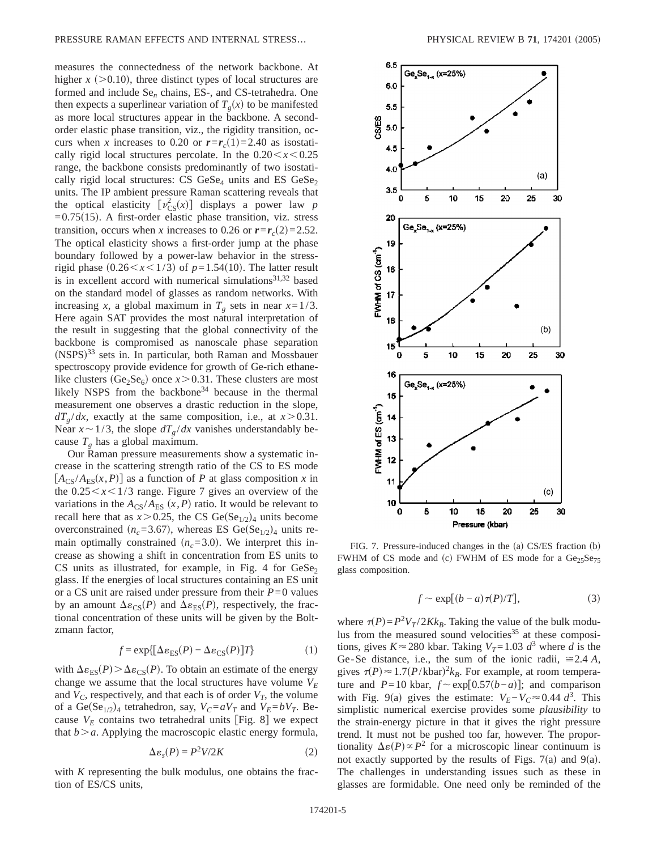measures the connectedness of the network backbone. At higher  $x$  ( $>0.10$ ), three distinct types of local structures are formed and include Se*<sup>n</sup>* chains, ES-, and CS-tetrahedra. One then expects a superlinear variation of  $T_g(x)$  to be manifested as more local structures appear in the backbone. A secondorder elastic phase transition, viz., the rigidity transition, occurs when *x* increases to 0.20 or  $r = r_c(1) = 2.40$  as isostatically rigid local structures percolate. In the  $0.20 \le x \le 0.25$ range, the backbone consists predominantly of two isostatically rigid local structures: CS  $GeSe_4$  units and ES  $GeSe_2$ units. The IP ambient pressure Raman scattering reveals that the optical elasticity  $\left[\nu_{CS}^2(x)\right]$  displays a power law *p*  $=0.75(15)$ . A first-order elastic phase transition, viz. stress transition, occurs when *x* increases to 0.26 or  $r=r_c(2)=2.52$ . The optical elasticity shows a first-order jump at the phase boundary followed by a power-law behavior in the stressrigid phase  $(0.26 \le x \le 1/3)$  of  $p=1.54(10)$ . The latter result is in excellent accord with numerical simulations<sup>31,32</sup> based on the standard model of glasses as random networks. With increasing *x*, a global maximum in  $T_g$  sets in near  $x=1/3$ . Here again SAT provides the most natural interpretation of the result in suggesting that the global connectivity of the backbone is compromised as nanoscale phase separation (NSPS)<sup>33</sup> sets in. In particular, both Raman and Mossbauer spectroscopy provide evidence for growth of Ge-rich ethanelike clusters (Ge<sub>2</sub>Se<sub>6</sub>) once  $x > 0.31$ . These clusters are most likely NSPS from the backbone<sup>34</sup> because in the thermal measurement one observes a drastic reduction in the slope,  $dT_g/dx$ , exactly at the same composition, i.e., at  $x > 0.31$ . Near  $x \sim 1/3$ , the slope  $dT_g/dx$  vanishes understandably because  $T_g$  has a global maximum.

Our Raman pressure measurements show a systematic increase in the scattering strength ratio of the CS to ES mode  $[A_{CS}/A_{ES}(x, P)]$  as a function of *P* at glass composition *x* in the  $0.25 \le x \le 1/3$  range. Figure 7 gives an overview of the variations in the  $A_{CS}/A_{ES}(x, P)$  ratio. It would be relevant to recall here that as  $x > 0.25$ , the CS Ge(Se<sub>1/2</sub>)<sub>4</sub> units become overconstrained  $(n_c=3.67)$ , whereas ES Ge(Se<sub>1/2</sub>)<sub>4</sub> units remain optimally constrained  $(n<sub>c</sub>=3.0)$ . We interpret this increase as showing a shift in concentration from ES units to CS units as illustrated, for example, in Fig. 4 for  $GeSe<sub>2</sub>$ glass. If the energies of local structures containing an ES unit or a CS unit are raised under pressure from their  $P=0$  values by an amount  $\Delta \varepsilon_{CS}(P)$  and  $\Delta \varepsilon_{FS}(P)$ , respectively, the fractional concentration of these units will be given by the Boltzmann factor,

$$
f = \exp\{[\Delta \varepsilon_{ES}(P) - \Delta \varepsilon_{CS}(P)]T\}
$$
 (1)

with  $\Delta \varepsilon_{ES}(P) > \Delta \varepsilon_{CS}(P)$ . To obtain an estimate of the energy change we assume that the local structures have volume  $V_F$ and  $V_C$ , respectively, and that each is of order  $V_T$ , the volume of a Ge(Se<sub>1/2</sub>)<sub>4</sub> tetrahedron, say,  $V_C = aV_T$  and  $V_E = bV_T$ . Because  $V_E$  contains two tetrahedral units [Fig. 8] we expect that  $b > a$ . Applying the macroscopic elastic energy formula,

$$
\Delta \varepsilon_s(P) = P^2 V / 2K \tag{2}
$$

with *K* representing the bulk modulus, one obtains the fraction of ES/CS units,



FIG. 7. Pressure-induced changes in the  $(a)$  CS/ES fraction  $(b)$ FWHM of CS mode and (c) FWHM of ES mode for a  $Ge<sub>25</sub>Se<sub>75</sub>$ glass composition.

$$
f \sim \exp[(b-a)\tau(P)/T],\tag{3}
$$

where  $\tau(P) = P^2 V_T / 2Kk_B$ . Taking the value of the bulk modulus from the measured sound velocities<sup>35</sup> at these compositions, gives  $K \approx 280$  kbar. Taking  $V_T = 1.03$   $d^3$  where *d* is the Ge-Se distance, i.e., the sum of the ionic radii,  $\approx 2.4 A$ , gives  $\tau(P) \approx 1.7 (P/\text{kbar})^2 k_B$ . For example, at room temperature and *P*=10 kbar,  $f \sim \exp[0.57(b-a)]$ ; and comparison with Fig. 9(a) gives the estimate:  $V_E - V_C \approx 0.44 d^3$ . This simplistic numerical exercise provides some *plausibility* to the strain-energy picture in that it gives the right pressure trend. It must not be pushed too far, however. The proportionality  $\Delta \varepsilon(P) \propto P^2$  for a microscopic linear continuum is not exactly supported by the results of Figs.  $7(a)$  and  $9(a)$ . The challenges in understanding issues such as these in glasses are formidable. One need only be reminded of the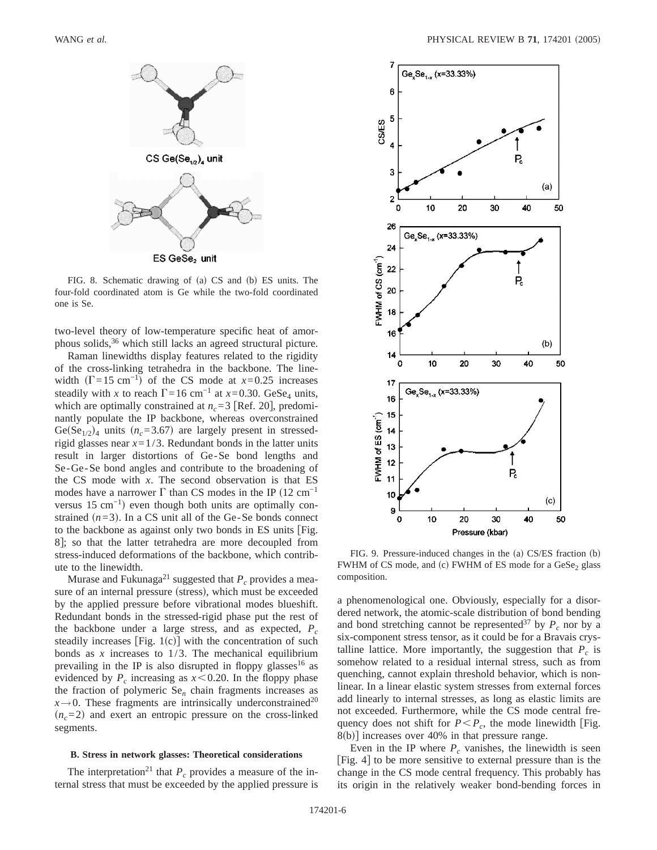

FIG. 8. Schematic drawing of (a) CS and (b) ES units. The four-fold coordinated atom is Ge while the two-fold coordinated one is Se.

two-level theory of low-temperature specific heat of amorphous solids,<sup>36</sup> which still lacks an agreed structural picture.

Raman linewidths display features related to the rigidity of the cross-linking tetrahedra in the backbone. The linewidth  $(\Gamma=15 \text{ cm}^{-1})$  of the CS mode at *x*=0.25 increases steadily with *x* to reach  $\Gamma$ =16 cm<sup>-1</sup> at *x*=0.30. GeSe<sub>4</sub> units, which are optimally constrained at  $n_c$ =3 [Ref. 20], predominantly populate the IP backbone, whereas overconstrained Ge(Se<sub>1/2</sub>)<sub>4</sub> units  $(n_c=3.67)$  are largely present in stressedrigid glasses near  $x=1/3$ . Redundant bonds in the latter units result in larger distortions of Ge-Se bond lengths and Se-Ge-Se bond angles and contribute to the broadening of the CS mode with *x*. The second observation is that ES modes have a narrower  $\Gamma$  than CS modes in the IP (12 cm<sup>-1</sup> versus 15 cm<sup>-1</sup>) even though both units are optimally constrained  $(n=3)$ . In a CS unit all of the Ge-Se bonds connect to the backbone as against only two bonds in ES units [Fig. 8]; so that the latter tetrahedra are more decoupled from stress-induced deformations of the backbone, which contribute to the linewidth.

Murase and Fukunaga<sup>21</sup> suggested that  $P_c$  provides a measure of an internal pressure (stress), which must be exceeded by the applied pressure before vibrational modes blueshift. Redundant bonds in the stressed-rigid phase put the rest of the backbone under a large stress, and as expected,  $P_c$ steadily increases [Fig.  $1(c)$ ] with the concentration of such bonds as  $x$  increases to  $1/3$ . The mechanical equilibrium prevailing in the IP is also disrupted in floppy glasses<sup>16</sup> as evidenced by  $P_c$  increasing as  $x \le 0.20$ . In the floppy phase the fraction of polymeric Se*<sup>n</sup>* chain fragments increases as  $x \rightarrow 0$ . These fragments are intrinsically underconstrained<sup>20</sup>  $(n<sub>c</sub>=2)$  and exert an entropic pressure on the cross-linked segments.

### **B. Stress in network glasses: Theoretical considerations**

The interpretation<sup>21</sup> that  $P_c$  provides a measure of the internal stress that must be exceeded by the applied pressure is



FIG. 9. Pressure-induced changes in the (a) CS/ES fraction (b) FWHM of CS mode, and (c) FWHM of ES mode for a GeSe<sub>2</sub> glass composition.

a phenomenological one. Obviously, especially for a disordered network, the atomic-scale distribution of bond bending and bond stretching cannot be represented<sup>37</sup> by  $P_c$  nor by a six-component stress tensor, as it could be for a Bravais crystalline lattice. More importantly, the suggestion that  $P_c$  is somehow related to a residual internal stress, such as from quenching, cannot explain threshold behavior, which is nonlinear. In a linear elastic system stresses from external forces add linearly to internal stresses, as long as elastic limits are not exceeded. Furthermore, while the CS mode central frequency does not shift for  $P < P_c$ , the mode linewidth [Fig.  $8(b)$ ] increases over 40% in that pressure range.

Even in the IP where  $P_c$  vanishes, the linewidth is seen [Fig. 4] to be more sensitive to external pressure than is the change in the CS mode central frequency. This probably has its origin in the relatively weaker bond-bending forces in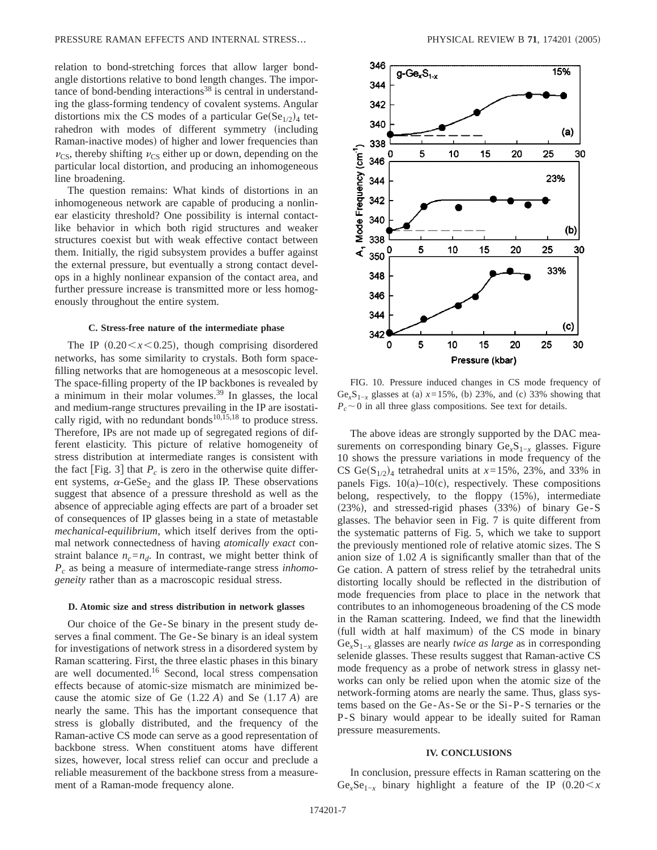relation to bond-stretching forces that allow larger bondangle distortions relative to bond length changes. The importance of bond-bending interactions<sup>38</sup> is central in understanding the glass-forming tendency of covalent systems. Angular distortions mix the CS modes of a particular  $Ge(Se_{1/2})_4$  tetrahedron with modes of different symmetry (including Raman-inactive modes) of higher and lower frequencies than  $v_{\text{CS}}$ , thereby shifting  $v_{\text{CS}}$  either up or down, depending on the particular local distortion, and producing an inhomogeneous line broadening.

The question remains: What kinds of distortions in an inhomogeneous network are capable of producing a nonlinear elasticity threshold? One possibility is internal contactlike behavior in which both rigid structures and weaker structures coexist but with weak effective contact between them. Initially, the rigid subsystem provides a buffer against the external pressure, but eventually a strong contact develops in a highly nonlinear expansion of the contact area, and further pressure increase is transmitted more or less homogenously throughout the entire system.

#### **C. Stress-free nature of the intermediate phase**

The IP  $(0.20 \le x \le 0.25)$ , though comprising disordered networks, has some similarity to crystals. Both form spacefilling networks that are homogeneous at a mesoscopic level. The space-filling property of the IP backbones is revealed by a minimum in their molar volumes.39 In glasses, the local and medium-range structures prevailing in the IP are isostatically rigid, with no redundant bonds<sup>10,15,18</sup> to produce stress. Therefore, IPs are not made up of segregated regions of different elasticity. This picture of relative homogeneity of stress distribution at intermediate ranges is consistent with the fact  $\lceil$  Fig. 3 $\rceil$  that  $P_c$  is zero in the otherwise quite different systems,  $\alpha$ -GeSe<sub>2</sub> and the glass IP. These observations suggest that absence of a pressure threshold as well as the absence of appreciable aging effects are part of a broader set of consequences of IP glasses being in a state of metastable *mechanical-equilibrium*, which itself derives from the optimal network connectedness of having *atomically exact* constraint balance  $n_c = n_d$ . In contrast, we might better think of *Pc* as being a measure of intermediate-range stress *inhomogeneity* rather than as a macroscopic residual stress.

### **D. Atomic size and stress distribution in network glasses**

Our choice of the Ge-Se binary in the present study deserves a final comment. The Ge-Se binary is an ideal system for investigations of network stress in a disordered system by Raman scattering. First, the three elastic phases in this binary are well documented.<sup>16</sup> Second, local stress compensation effects because of atomic-size mismatch are minimized because the atomic size of Ge  $(1.22 \text{ A})$  and Se  $(1.17 \text{ A})$  are nearly the same. This has the important consequence that stress is globally distributed, and the frequency of the Raman-active CS mode can serve as a good representation of backbone stress. When constituent atoms have different sizes, however, local stress relief can occur and preclude a reliable measurement of the backbone stress from a measurement of a Raman-mode frequency alone.



FIG. 10. Pressure induced changes in CS mode frequency of Ge<sub>*x*</sub>S<sub>1−*x*</sub> glasses at (a)  $x=15%$ , (b) 23%, and (c) 33% showing that  $P_c \sim 0$  in all three glass compositions. See text for details.

The above ideas are strongly supported by the DAC measurements on corresponding binary Ge<sub>*x*</sub>S<sub>1−*x*</sub> glasses. Figure 10 shows the pressure variations in mode frequency of the CS Ge( $S_{1/2}$ )<sub>4</sub> tetrahedral units at  $x=15\%$ , 23%, and 33% in panels Figs.  $10(a)-10(c)$ , respectively. These compositions belong, respectively, to the floppy  $(15%)$ , intermediate  $(23%)$ , and stressed-rigid phases  $(33%)$  of binary Ge-S glasses. The behavior seen in Fig. 7 is quite different from the systematic patterns of Fig. 5, which we take to support the previously mentioned role of relative atomic sizes. The S anion size of 1.02 *A* is significantly smaller than that of the Ge cation. A pattern of stress relief by the tetrahedral units distorting locally should be reflected in the distribution of mode frequencies from place to place in the network that contributes to an inhomogeneous broadening of the CS mode in the Raman scattering. Indeed, we find that the linewidth (full width at half maximum) of the CS mode in binary Ge*x*S1−*<sup>x</sup>* glasses are nearly *twice as large* as in corresponding selenide glasses. These results suggest that Raman-active CS mode frequency as a probe of network stress in glassy networks can only be relied upon when the atomic size of the network-forming atoms are nearly the same. Thus, glass systems based on the Ge-As-Se or the Si-P-S ternaries or the P-S binary would appear to be ideally suited for Raman pressure measurements.

#### **IV. CONCLUSIONS**

In conclusion, pressure effects in Raman scattering on the  $Ge<sub>x</sub>Se<sub>1-x</sub>$  binary highlight a feature of the IP  $(0.20 < x)$